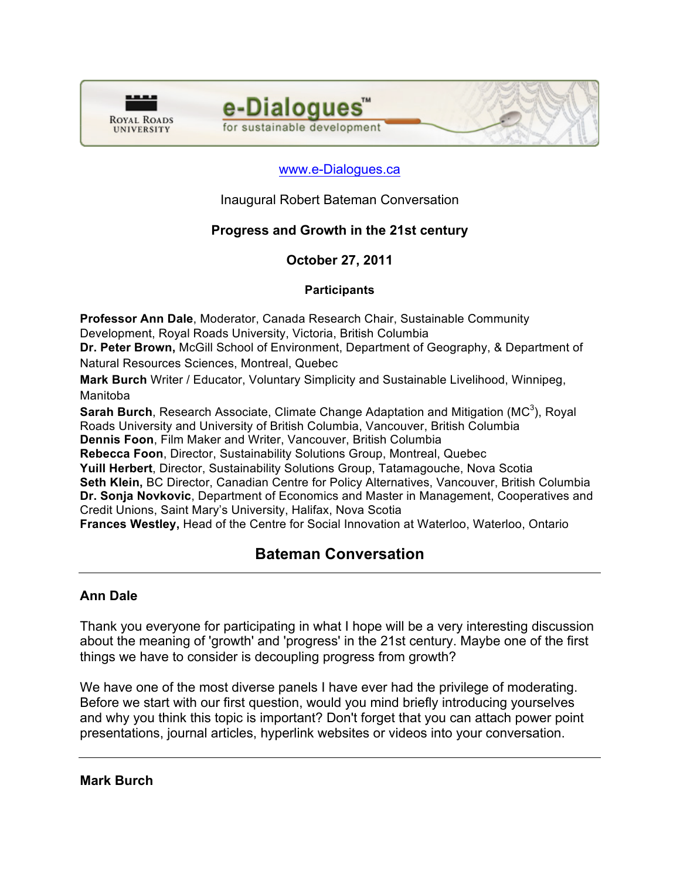



## www.e-Dialogues.ca

Inaugural Robert Bateman Conversation

## **Progress and Growth in the 21st century**

### **October 27, 2011**

#### **Participants**

**Professor Ann Dale**, Moderator, Canada Research Chair, Sustainable Community Development, Royal Roads University, Victoria, British Columbia

**Dr. Peter Brown,** McGill School of Environment, Department of Geography, & Department of Natural Resources Sciences, Montreal, Quebec

**Mark Burch** Writer / Educator, Voluntary Simplicity and Sustainable Livelihood, Winnipeg, Manitoba

Sarah Burch, Research Associate, Climate Change Adaptation and Mitigation (MC<sup>3</sup>), Royal Roads University and University of British Columbia, Vancouver, British Columbia

**Dennis Foon**, Film Maker and Writer, Vancouver, British Columbia

**Rebecca Foon**, Director, Sustainability Solutions Group, Montreal, Quebec

**Yuill Herbert**, Director, Sustainability Solutions Group, Tatamagouche, Nova Scotia

**Seth Klein,** BC Director, Canadian Centre for Policy Alternatives, Vancouver, British Columbia **Dr. Sonja Novkovic**, Department of Economics and Master in Management, Cooperatives and Credit Unions, Saint Mary's University, Halifax, Nova Scotia

**Frances Westley,** Head of the Centre for Social Innovation at Waterloo, Waterloo, Ontario

# **Bateman Conversation**

### **Ann Dale**

Thank you everyone for participating in what I hope will be a very interesting discussion about the meaning of 'growth' and 'progress' in the 21st century. Maybe one of the first things we have to consider is decoupling progress from growth?

We have one of the most diverse panels I have ever had the privilege of moderating. Before we start with our first question, would you mind briefly introducing yourselves and why you think this topic is important? Don't forget that you can attach power point presentations, journal articles, hyperlink websites or videos into your conversation.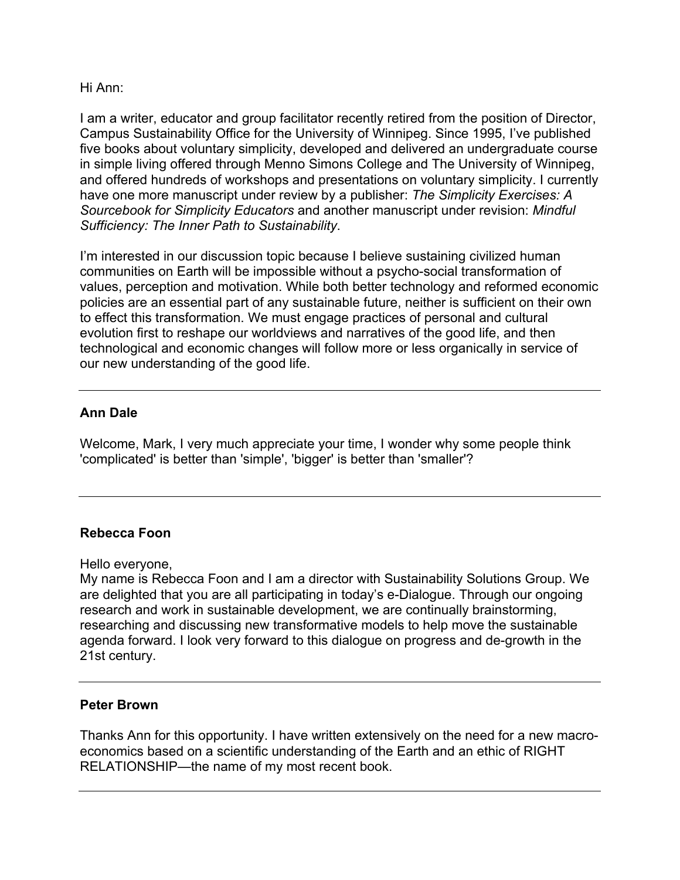Hi Ann:

I am a writer, educator and group facilitator recently retired from the position of Director, Campus Sustainability Office for the University of Winnipeg. Since 1995, I've published five books about voluntary simplicity, developed and delivered an undergraduate course in simple living offered through Menno Simons College and The University of Winnipeg, and offered hundreds of workshops and presentations on voluntary simplicity. I currently have one more manuscript under review by a publisher: *The Simplicity Exercises: A Sourcebook for Simplicity Educators* and another manuscript under revision: *Mindful Sufficiency: The Inner Path to Sustainability*.

I'm interested in our discussion topic because I believe sustaining civilized human communities on Earth will be impossible without a psycho-social transformation of values, perception and motivation. While both better technology and reformed economic policies are an essential part of any sustainable future, neither is sufficient on their own to effect this transformation. We must engage practices of personal and cultural evolution first to reshape our worldviews and narratives of the good life, and then technological and economic changes will follow more or less organically in service of our new understanding of the good life.

## **Ann Dale**

Welcome, Mark, I very much appreciate your time, I wonder why some people think 'complicated' is better than 'simple', 'bigger' is better than 'smaller'?

### **Rebecca Foon**

Hello everyone,

My name is Rebecca Foon and I am a director with Sustainability Solutions Group. We are delighted that you are all participating in today's e-Dialogue. Through our ongoing research and work in sustainable development, we are continually brainstorming, researching and discussing new transformative models to help move the sustainable agenda forward. I look very forward to this dialogue on progress and de-growth in the 21st century.

### **Peter Brown**

Thanks Ann for this opportunity. I have written extensively on the need for a new macroeconomics based on a scientific understanding of the Earth and an ethic of RIGHT RELATIONSHIP—the name of my most recent book.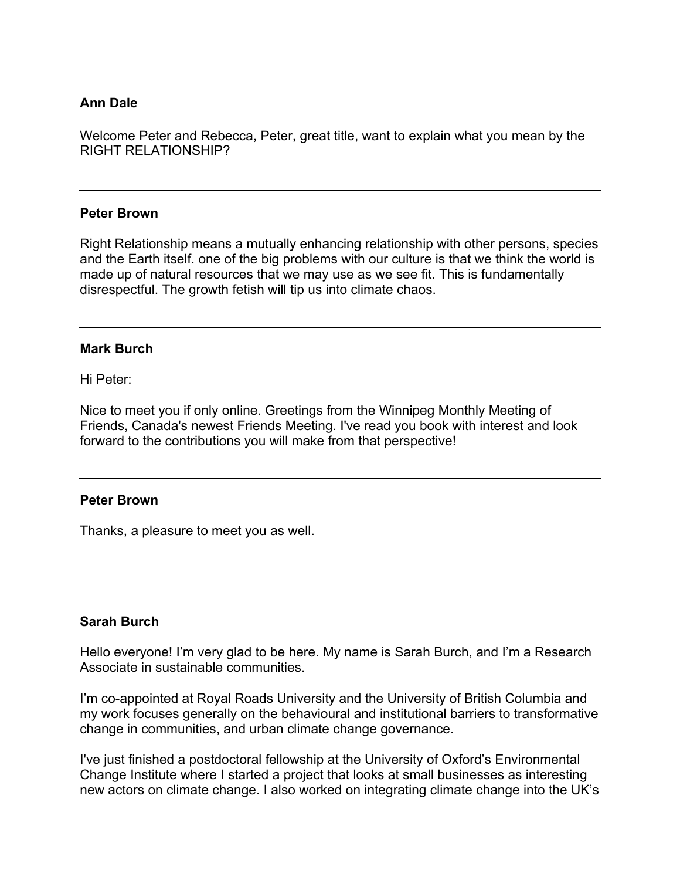### **Ann Dale**

Welcome Peter and Rebecca, Peter, great title, want to explain what you mean by the RIGHT RELATIONSHIP?

#### **Peter Brown**

Right Relationship means a mutually enhancing relationship with other persons, species and the Earth itself. one of the big problems with our culture is that we think the world is made up of natural resources that we may use as we see fit. This is fundamentally disrespectful. The growth fetish will tip us into climate chaos.

#### **Mark Burch**

Hi Peter:

Nice to meet you if only online. Greetings from the Winnipeg Monthly Meeting of Friends, Canada's newest Friends Meeting. I've read you book with interest and look forward to the contributions you will make from that perspective!

#### **Peter Brown**

Thanks, a pleasure to meet you as well.

### **Sarah Burch**

Hello everyone! I'm very glad to be here. My name is Sarah Burch, and I'm a Research Associate in sustainable communities.

I'm co-appointed at Royal Roads University and the University of British Columbia and my work focuses generally on the behavioural and institutional barriers to transformative change in communities, and urban climate change governance.

I've just finished a postdoctoral fellowship at the University of Oxford's Environmental Change Institute where I started a project that looks at small businesses as interesting new actors on climate change. I also worked on integrating climate change into the UK's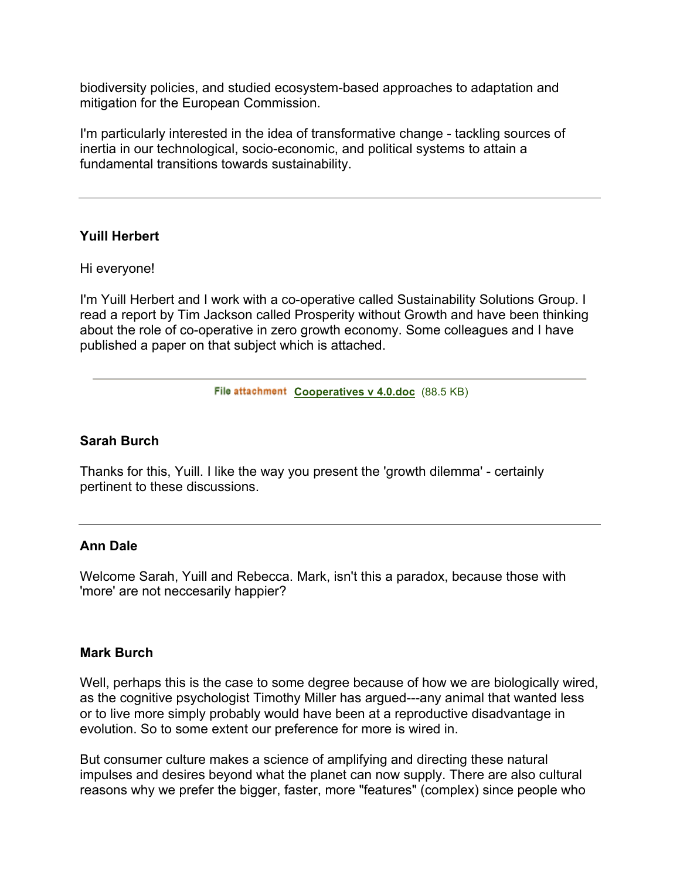biodiversity policies, and studied ecosystem-based approaches to adaptation and mitigation for the European Commission.

I'm particularly interested in the idea of transformative change - tackling sources of inertia in our technological, socio-economic, and political systems to attain a fundamental transitions towards sustainability.

### **Yuill Herbert**

Hi everyone!

I'm Yuill Herbert and I work with a co-operative called Sustainability Solutions Group. I read a report by Tim Jackson called Prosperity without Growth and have been thinking about the role of co-operative in zero growth economy. Some colleagues and I have published a paper on that subject which is attached.

File attachment Cooperatives v 4.0.doc (88.5 KB)

#### **Sarah Burch**

Thanks for this, Yuill. I like the way you present the 'growth dilemma' - certainly pertinent to these discussions.

#### **Ann Dale**

Welcome Sarah, Yuill and Rebecca. Mark, isn't this a paradox, because those with 'more' are not neccesarily happier?

#### **Mark Burch**

Well, perhaps this is the case to some degree because of how we are biologically wired, as the cognitive psychologist Timothy Miller has argued---any animal that wanted less or to live more simply probably would have been at a reproductive disadvantage in evolution. So to some extent our preference for more is wired in.

But consumer culture makes a science of amplifying and directing these natural impulses and desires beyond what the planet can now supply. There are also cultural reasons why we prefer the bigger, faster, more "features" (complex) since people who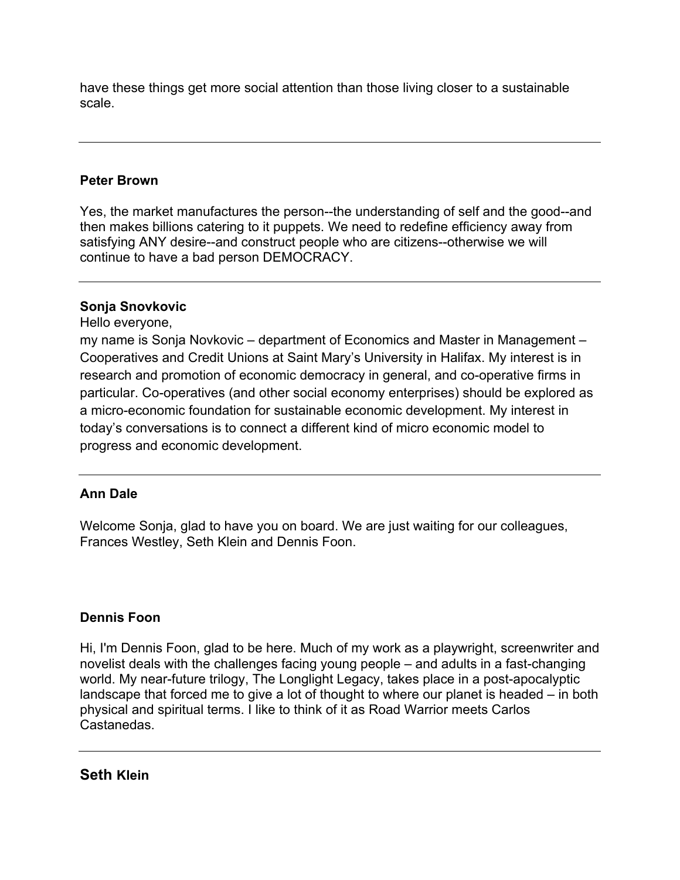have these things get more social attention than those living closer to a sustainable scale.

### **Peter Brown**

Yes, the market manufactures the person--the understanding of self and the good--and then makes billions catering to it puppets. We need to redefine efficiency away from satisfying ANY desire--and construct people who are citizens--otherwise we will continue to have a bad person DEMOCRACY.

### **Sonja Snovkovic**

Hello everyone,

my name is Sonja Novkovic – department of Economics and Master in Management – Cooperatives and Credit Unions at Saint Mary's University in Halifax. My interest is in research and promotion of economic democracy in general, and co-operative firms in particular. Co-operatives (and other social economy enterprises) should be explored as a micro-economic foundation for sustainable economic development. My interest in today's conversations is to connect a different kind of micro economic model to progress and economic development.

## **Ann Dale**

Welcome Sonja, glad to have you on board. We are just waiting for our colleagues, Frances Westley, Seth Klein and Dennis Foon.

## **Dennis Foon**

Hi, I'm Dennis Foon, glad to be here. Much of my work as a playwright, screenwriter and novelist deals with the challenges facing young people – and adults in a fast-changing world. My near-future trilogy, The Longlight Legacy, takes place in a post-apocalyptic landscape that forced me to give a lot of thought to where our planet is headed – in both physical and spiritual terms. I like to think of it as Road Warrior meets Carlos Castanedas.

**Seth Klein**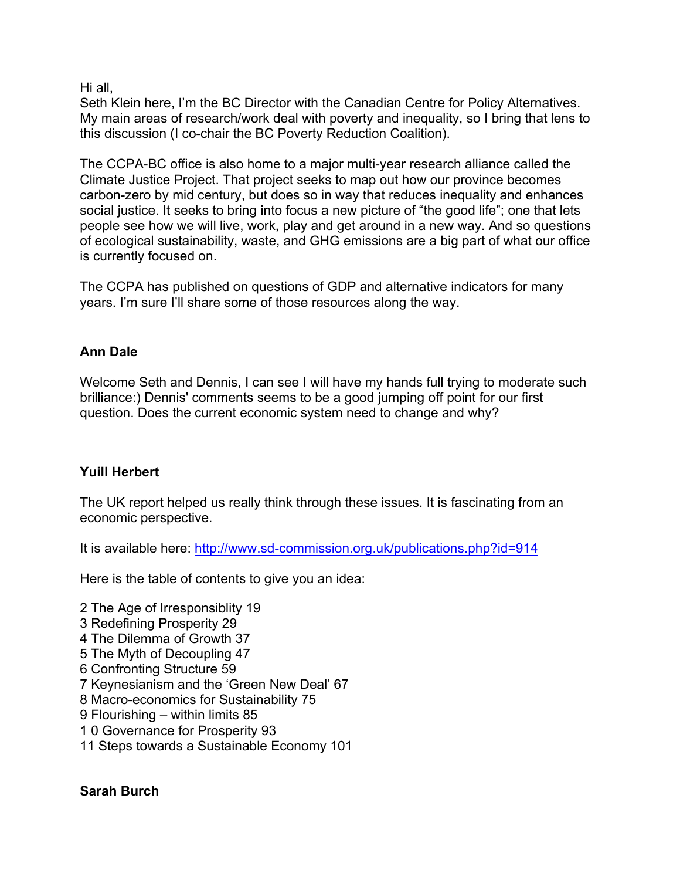Hi all,

Seth Klein here, I'm the BC Director with the Canadian Centre for Policy Alternatives. My main areas of research/work deal with poverty and inequality, so I bring that lens to this discussion (I co-chair the BC Poverty Reduction Coalition).

The CCPA-BC office is also home to a major multi-year research alliance called the Climate Justice Project. That project seeks to map out how our province becomes carbon-zero by mid century, but does so in way that reduces inequality and enhances social justice. It seeks to bring into focus a new picture of "the good life"; one that lets people see how we will live, work, play and get around in a new way. And so questions of ecological sustainability, waste, and GHG emissions are a big part of what our office is currently focused on.

The CCPA has published on questions of GDP and alternative indicators for many years. I'm sure I'll share some of those resources along the way.

## **Ann Dale**

Welcome Seth and Dennis, I can see I will have my hands full trying to moderate such brilliance:) Dennis' comments seems to be a good jumping off point for our first question. Does the current economic system need to change and why?

## **Yuill Herbert**

The UK report helped us really think through these issues. It is fascinating from an economic perspective.

It is available here: http://www.sd-commission.org.uk/publications.php?id=914

Here is the table of contents to give you an idea:

2 The Age of Irresponsiblity 19 3 Redefining Prosperity 29 4 The Dilemma of Growth 37 5 The Myth of Decoupling 47 6 Confronting Structure 59 7 Keynesianism and the 'Green New Deal' 67 8 Macro-economics for Sustainability 75 9 Flourishing – within limits 85 1 0 Governance for Prosperity 93 11 Steps towards a Sustainable Economy 101

### **Sarah Burch**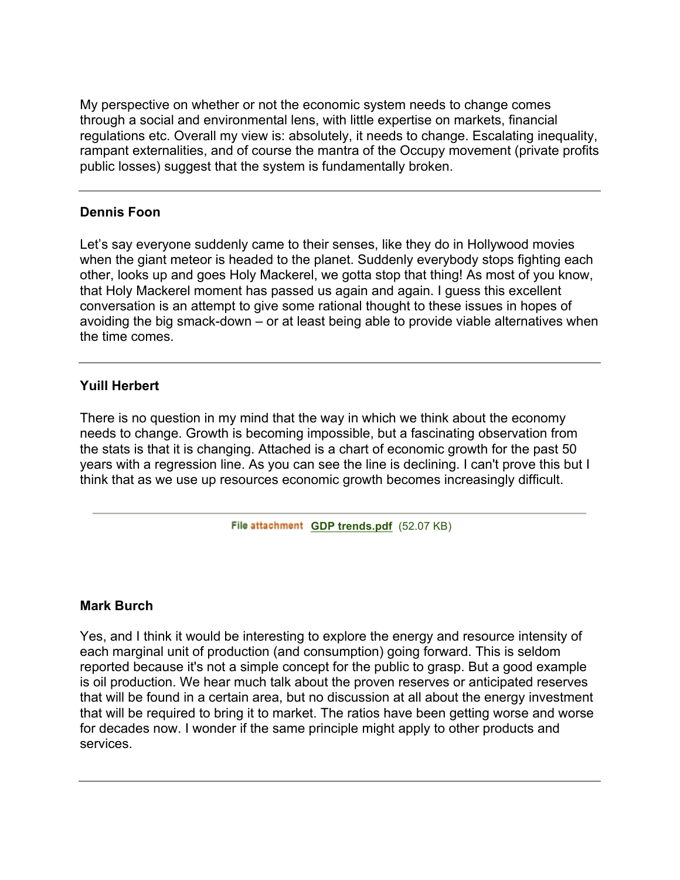My perspective on whether or not the economic system needs to change comes through a social and environmental lens, with little expertise on markets, financial regulations etc. Overall my view is: absolutely, it needs to change. Escalating inequality, rampant externalities, and of course the mantra of the Occupy movement (private profits public losses) suggest that the system is fundamentally broken.

### **Dennis Foon**

Let's say everyone suddenly came to their senses, like they do in Hollywood movies when the giant meteor is headed to the planet. Suddenly everybody stops fighting each other, looks up and goes Holy Mackerel, we gotta stop that thing! As most of you know, that Holy Mackerel moment has passed us again and again. I guess this excellent conversation is an attempt to give some rational thought to these issues in hopes of avoiding the big smack-down – or at least being able to provide viable alternatives when the time comes.

## **Yuill Herbert**

There is no question in my mind that the way in which we think about the economy needs to change. Growth is becoming impossible, but a fascinating observation from the stats is that it is changing. Attached is a chart of economic growth for the past 50 years with a regression line. As you can see the line is declining. I can't prove this but I think that as we use up resources economic growth becomes increasingly difficult.

File attachment **GDP trends.pdf** (52.07 KB)

### **Mark Burch**

Yes, and I think it would be interesting to explore the energy and resource intensity of each marginal unit of production (and consumption) going forward. This is seldom reported because it's not a simple concept for the public to grasp. But a good example is oil production. We hear much talk about the proven reserves or anticipated reserves that will be found in a certain area, but no discussion at all about the energy investment that will be required to bring it to market. The ratios have been getting worse and worse for decades now. I wonder if the same principle might apply to other products and services.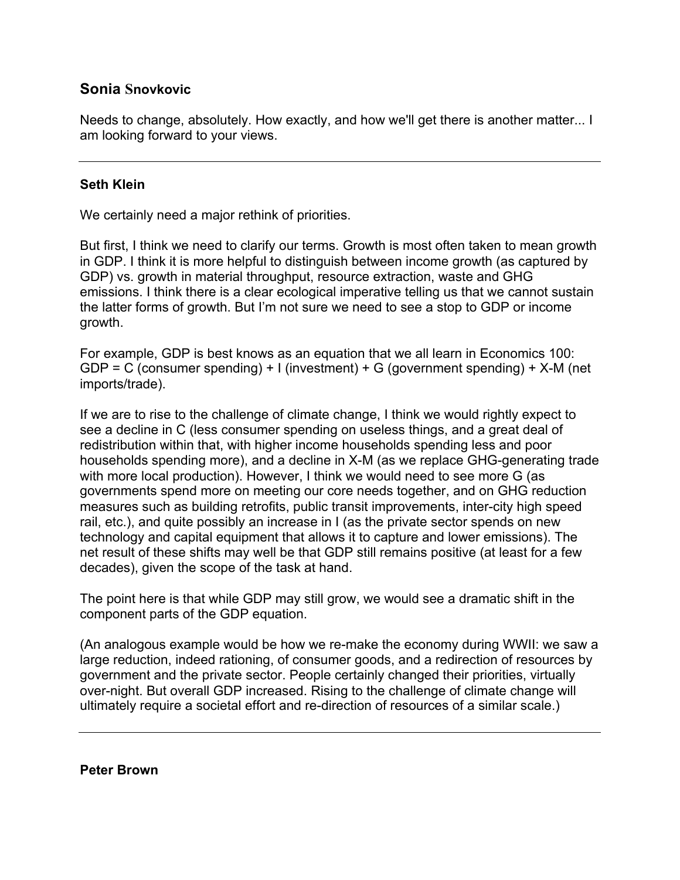## **Sonia Snovkovic**

Needs to change, absolutely. How exactly, and how we'll get there is another matter... I am looking forward to your views.

#### **Seth Klein**

We certainly need a major rethink of priorities.

But first, I think we need to clarify our terms. Growth is most often taken to mean growth in GDP. I think it is more helpful to distinguish between income growth (as captured by GDP) vs. growth in material throughput, resource extraction, waste and GHG emissions. I think there is a clear ecological imperative telling us that we cannot sustain the latter forms of growth. But I'm not sure we need to see a stop to GDP or income growth.

For example, GDP is best knows as an equation that we all learn in Economics 100: GDP = C (consumer spending) + I (investment) + G (government spending) + X-M (net imports/trade).

If we are to rise to the challenge of climate change, I think we would rightly expect to see a decline in C (less consumer spending on useless things, and a great deal of redistribution within that, with higher income households spending less and poor households spending more), and a decline in X-M (as we replace GHG-generating trade with more local production). However, I think we would need to see more G (as governments spend more on meeting our core needs together, and on GHG reduction measures such as building retrofits, public transit improvements, inter-city high speed rail, etc.), and quite possibly an increase in I (as the private sector spends on new technology and capital equipment that allows it to capture and lower emissions). The net result of these shifts may well be that GDP still remains positive (at least for a few decades), given the scope of the task at hand.

The point here is that while GDP may still grow, we would see a dramatic shift in the component parts of the GDP equation.

(An analogous example would be how we re-make the economy during WWII: we saw a large reduction, indeed rationing, of consumer goods, and a redirection of resources by government and the private sector. People certainly changed their priorities, virtually over-night. But overall GDP increased. Rising to the challenge of climate change will ultimately require a societal effort and re-direction of resources of a similar scale.)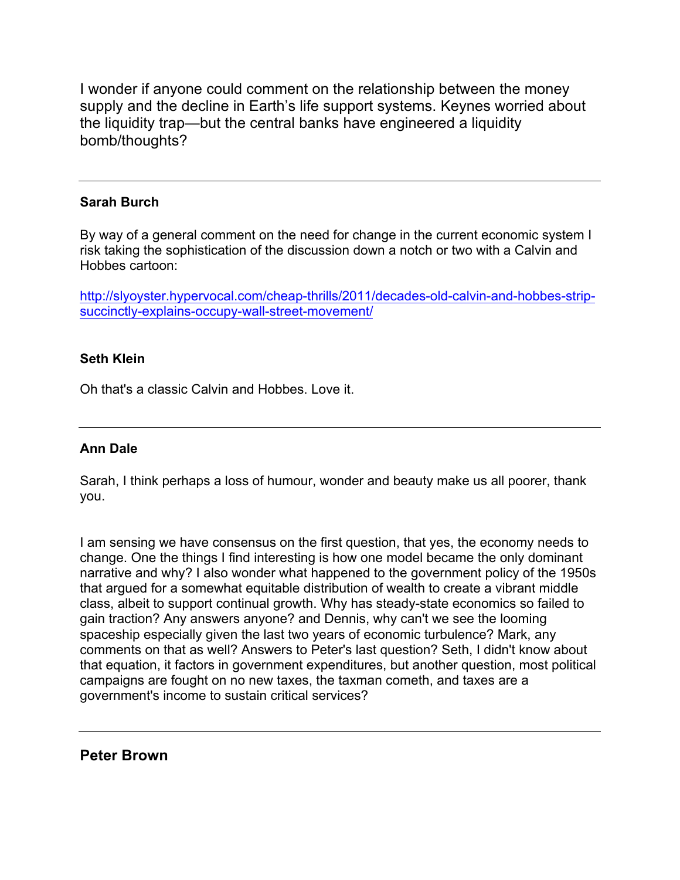I wonder if anyone could comment on the relationship between the money supply and the decline in Earth's life support systems. Keynes worried about the liquidity trap—but the central banks have engineered a liquidity bomb/thoughts?

### **Sarah Burch**

By way of a general comment on the need for change in the current economic system I risk taking the sophistication of the discussion down a notch or two with a Calvin and Hobbes cartoon:

http://slyoyster.hypervocal.com/cheap-thrills/2011/decades-old-calvin-and-hobbes-stripsuccinctly-explains-occupy-wall-street-movement/

#### **Seth Klein**

Oh that's a classic Calvin and Hobbes. Love it.

### **Ann Dale**

Sarah, I think perhaps a loss of humour, wonder and beauty make us all poorer, thank you.

I am sensing we have consensus on the first question, that yes, the economy needs to change. One the things I find interesting is how one model became the only dominant narrative and why? I also wonder what happened to the government policy of the 1950s that argued for a somewhat equitable distribution of wealth to create a vibrant middle class, albeit to support continual growth. Why has steady-state economics so failed to gain traction? Any answers anyone? and Dennis, why can't we see the looming spaceship especially given the last two years of economic turbulence? Mark, any comments on that as well? Answers to Peter's last question? Seth, I didn't know about that equation, it factors in government expenditures, but another question, most political campaigns are fought on no new taxes, the taxman cometh, and taxes are a government's income to sustain critical services?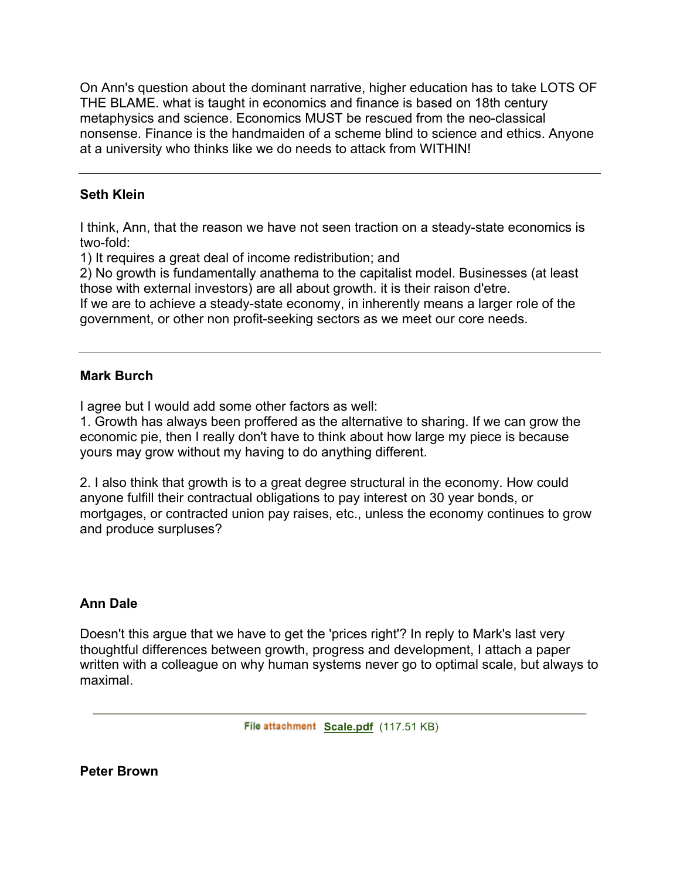On Ann's question about the dominant narrative, higher education has to take LOTS OF THE BLAME. what is taught in economics and finance is based on 18th century metaphysics and science. Economics MUST be rescued from the neo-classical nonsense. Finance is the handmaiden of a scheme blind to science and ethics. Anyone at a university who thinks like we do needs to attack from WITHIN!

### **Seth Klein**

I think, Ann, that the reason we have not seen traction on a steady-state economics is two-fold:

1) It requires a great deal of income redistribution; and

2) No growth is fundamentally anathema to the capitalist model. Businesses (at least those with external investors) are all about growth. it is their raison d'etre.

If we are to achieve a steady-state economy, in inherently means a larger role of the government, or other non profit-seeking sectors as we meet our core needs.

## **Mark Burch**

I agree but I would add some other factors as well:

1. Growth has always been proffered as the alternative to sharing. If we can grow the economic pie, then I really don't have to think about how large my piece is because yours may grow without my having to do anything different.

2. I also think that growth is to a great degree structural in the economy. How could anyone fulfill their contractual obligations to pay interest on 30 year bonds, or mortgages, or contracted union pay raises, etc., unless the economy continues to grow and produce surpluses?

## **Ann Dale**

Doesn't this argue that we have to get the 'prices right'? In reply to Mark's last very thoughtful differences between growth, progress and development, I attach a paper written with a colleague on why human systems never go to optimal scale, but always to maximal.

File attachment Scale.pdf (117.51 KB)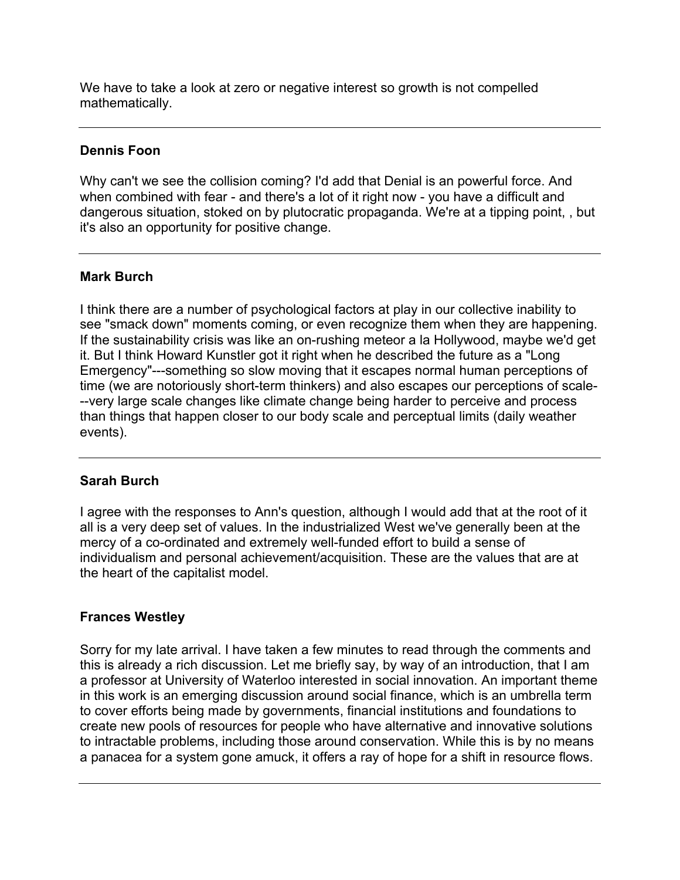We have to take a look at zero or negative interest so growth is not compelled mathematically.

### **Dennis Foon**

Why can't we see the collision coming? I'd add that Denial is an powerful force. And when combined with fear - and there's a lot of it right now - you have a difficult and dangerous situation, stoked on by plutocratic propaganda. We're at a tipping point, , but it's also an opportunity for positive change.

## **Mark Burch**

I think there are a number of psychological factors at play in our collective inability to see "smack down" moments coming, or even recognize them when they are happening. If the sustainability crisis was like an on-rushing meteor a la Hollywood, maybe we'd get it. But I think Howard Kunstler got it right when he described the future as a "Long Emergency"---something so slow moving that it escapes normal human perceptions of time (we are notoriously short-term thinkers) and also escapes our perceptions of scale- --very large scale changes like climate change being harder to perceive and process than things that happen closer to our body scale and perceptual limits (daily weather events).

### **Sarah Burch**

I agree with the responses to Ann's question, although I would add that at the root of it all is a very deep set of values. In the industrialized West we've generally been at the mercy of a co-ordinated and extremely well-funded effort to build a sense of individualism and personal achievement/acquisition. These are the values that are at the heart of the capitalist model.

## **Frances Westley**

Sorry for my late arrival. I have taken a few minutes to read through the comments and this is already a rich discussion. Let me briefly say, by way of an introduction, that I am a professor at University of Waterloo interested in social innovation. An important theme in this work is an emerging discussion around social finance, which is an umbrella term to cover efforts being made by governments, financial institutions and foundations to create new pools of resources for people who have alternative and innovative solutions to intractable problems, including those around conservation. While this is by no means a panacea for a system gone amuck, it offers a ray of hope for a shift in resource flows.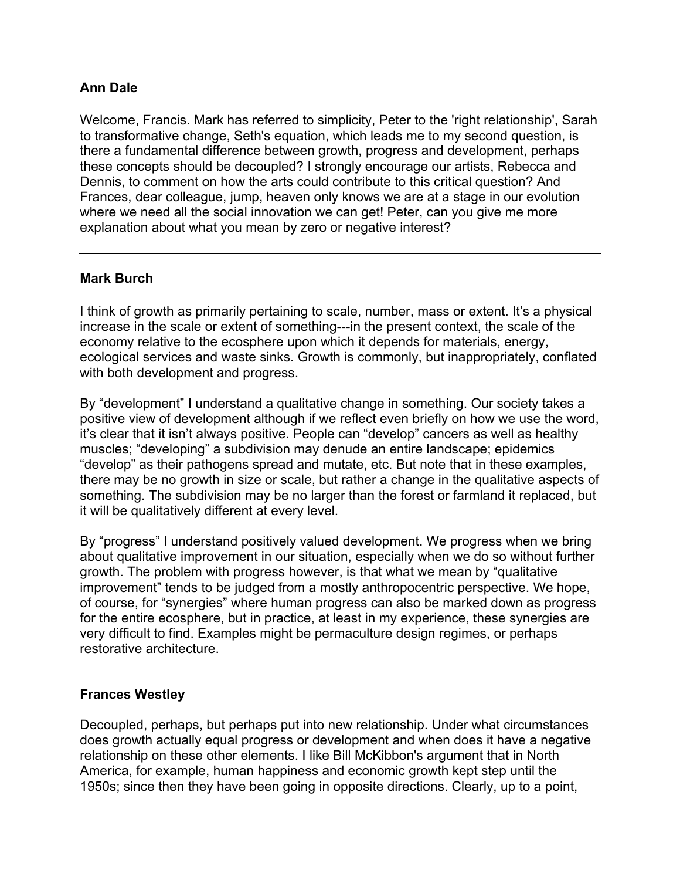## **Ann Dale**

Welcome, Francis. Mark has referred to simplicity, Peter to the 'right relationship', Sarah to transformative change, Seth's equation, which leads me to my second question, is there a fundamental difference between growth, progress and development, perhaps these concepts should be decoupled? I strongly encourage our artists, Rebecca and Dennis, to comment on how the arts could contribute to this critical question? And Frances, dear colleague, jump, heaven only knows we are at a stage in our evolution where we need all the social innovation we can get! Peter, can you give me more explanation about what you mean by zero or negative interest?

## **Mark Burch**

I think of growth as primarily pertaining to scale, number, mass or extent. It's a physical increase in the scale or extent of something---in the present context, the scale of the economy relative to the ecosphere upon which it depends for materials, energy, ecological services and waste sinks. Growth is commonly, but inappropriately, conflated with both development and progress.

By "development" I understand a qualitative change in something. Our society takes a positive view of development although if we reflect even briefly on how we use the word, it's clear that it isn't always positive. People can "develop" cancers as well as healthy muscles; "developing" a subdivision may denude an entire landscape; epidemics "develop" as their pathogens spread and mutate, etc. But note that in these examples, there may be no growth in size or scale, but rather a change in the qualitative aspects of something. The subdivision may be no larger than the forest or farmland it replaced, but it will be qualitatively different at every level.

By "progress" I understand positively valued development. We progress when we bring about qualitative improvement in our situation, especially when we do so without further growth. The problem with progress however, is that what we mean by "qualitative improvement" tends to be judged from a mostly anthropocentric perspective. We hope, of course, for "synergies" where human progress can also be marked down as progress for the entire ecosphere, but in practice, at least in my experience, these synergies are very difficult to find. Examples might be permaculture design regimes, or perhaps restorative architecture.

### **Frances Westley**

Decoupled, perhaps, but perhaps put into new relationship. Under what circumstances does growth actually equal progress or development and when does it have a negative relationship on these other elements. I like Bill McKibbon's argument that in North America, for example, human happiness and economic growth kept step until the 1950s; since then they have been going in opposite directions. Clearly, up to a point,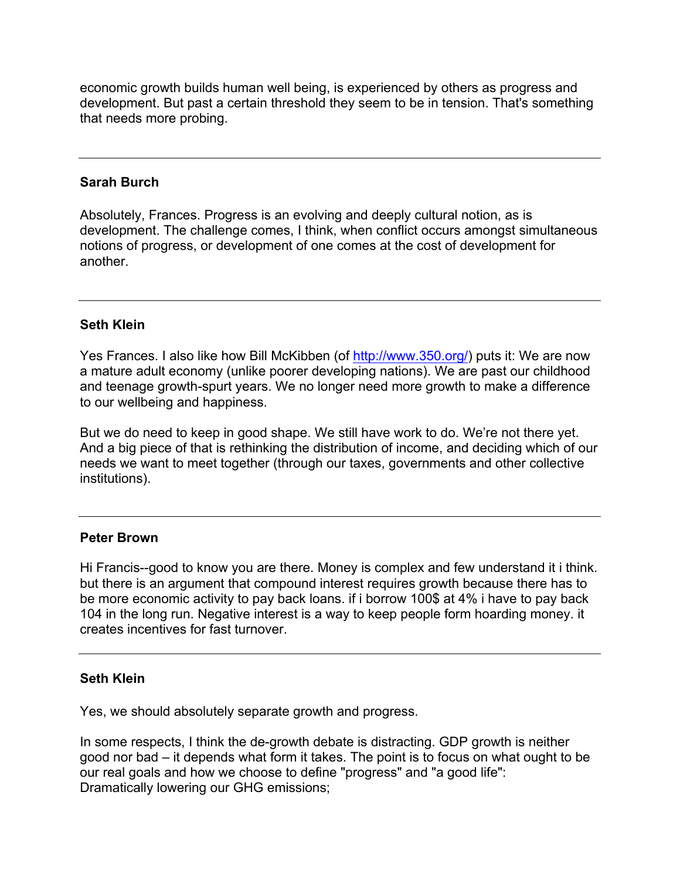economic growth builds human well being, is experienced by others as progress and development. But past a certain threshold they seem to be in tension. That's something that needs more probing.

#### **Sarah Burch**

Absolutely, Frances. Progress is an evolving and deeply cultural notion, as is development. The challenge comes, I think, when conflict occurs amongst simultaneous notions of progress, or development of one comes at the cost of development for another.

#### **Seth Klein**

Yes Frances. I also like how Bill McKibben (of http://www.350.org/) puts it: We are now a mature adult economy (unlike poorer developing nations). We are past our childhood and teenage growth-spurt years. We no longer need more growth to make a difference to our wellbeing and happiness.

But we do need to keep in good shape. We still have work to do. We're not there yet. And a big piece of that is rethinking the distribution of income, and deciding which of our needs we want to meet together (through our taxes, governments and other collective institutions).

#### **Peter Brown**

Hi Francis--good to know you are there. Money is complex and few understand it i think. but there is an argument that compound interest requires growth because there has to be more economic activity to pay back loans. if i borrow 100\$ at 4% i have to pay back 104 in the long run. Negative interest is a way to keep people form hoarding money. it creates incentives for fast turnover.

#### **Seth Klein**

Yes, we should absolutely separate growth and progress.

In some respects, I think the de-growth debate is distracting. GDP growth is neither good nor bad – it depends what form it takes. The point is to focus on what ought to be our real goals and how we choose to define "progress" and "a good life": Dramatically lowering our GHG emissions;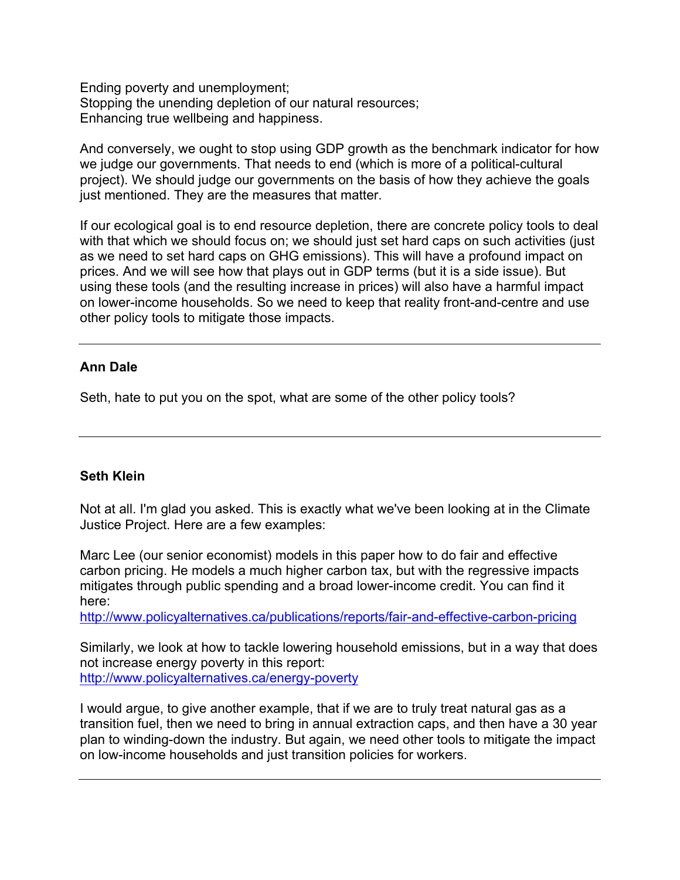Ending poverty and unemployment; Stopping the unending depletion of our natural resources; Enhancing true wellbeing and happiness.

And conversely, we ought to stop using GDP growth as the benchmark indicator for how we judge our governments. That needs to end (which is more of a political-cultural project). We should judge our governments on the basis of how they achieve the goals just mentioned. They are the measures that matter.

If our ecological goal is to end resource depletion, there are concrete policy tools to deal with that which we should focus on; we should just set hard caps on such activities (just as we need to set hard caps on GHG emissions). This will have a profound impact on prices. And we will see how that plays out in GDP terms (but it is a side issue). But using these tools (and the resulting increase in prices) will also have a harmful impact on lower-income households. So we need to keep that reality front-and-centre and use other policy tools to mitigate those impacts.

### **Ann Dale**

Seth, hate to put you on the spot, what are some of the other policy tools?

## **Seth Klein**

Not at all. I'm glad you asked. This is exactly what we've been looking at in the Climate Justice Project. Here are a few examples:

Marc Lee (our senior economist) models in this paper how to do fair and effective carbon pricing. He models a much higher carbon tax, but with the regressive impacts mitigates through public spending and a broad lower-income credit. You can find it here:

http://www.policyalternatives.ca/publications/reports/fair-and-effective-carbon-pricing

Similarly, we look at how to tackle lowering household emissions, but in a way that does not increase energy poverty in this report: http://www.policyalternatives.ca/energy-poverty

I would argue, to give another example, that if we are to truly treat natural gas as a transition fuel, then we need to bring in annual extraction caps, and then have a 30 year plan to winding-down the industry. But again, we need other tools to mitigate the impact on low-income households and just transition policies for workers.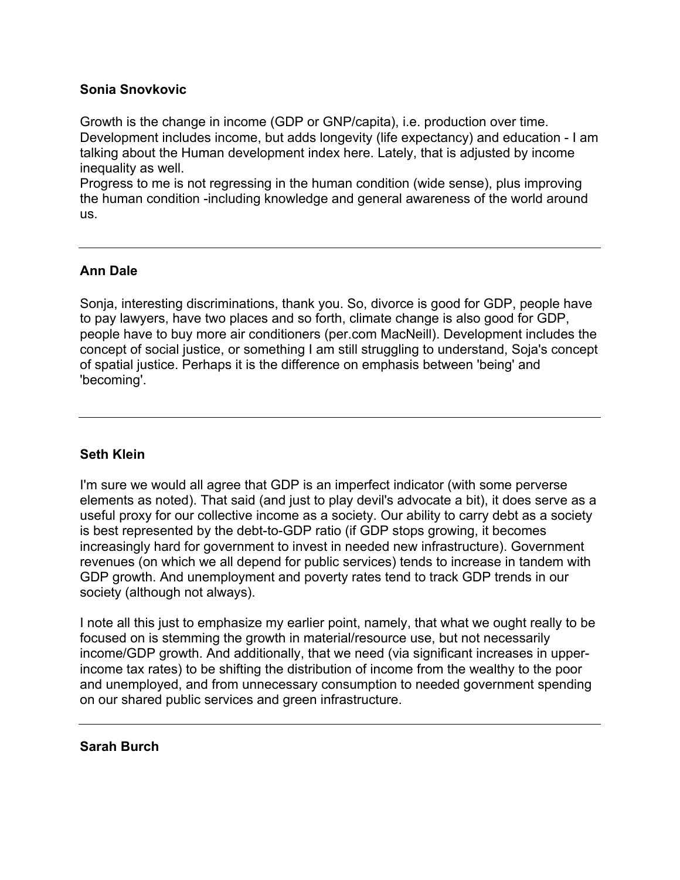### **Sonia Snovkovic**

Growth is the change in income (GDP or GNP/capita), i.e. production over time. Development includes income, but adds longevity (life expectancy) and education - I am talking about the Human development index here. Lately, that is adjusted by income inequality as well.

Progress to me is not regressing in the human condition (wide sense), plus improving the human condition -including knowledge and general awareness of the world around us.

### **Ann Dale**

Sonja, interesting discriminations, thank you. So, divorce is good for GDP, people have to pay lawyers, have two places and so forth, climate change is also good for GDP, people have to buy more air conditioners (per.com MacNeill). Development includes the concept of social justice, or something I am still struggling to understand, Soja's concept of spatial justice. Perhaps it is the difference on emphasis between 'being' and 'becoming'.

### **Seth Klein**

I'm sure we would all agree that GDP is an imperfect indicator (with some perverse elements as noted). That said (and just to play devil's advocate a bit), it does serve as a useful proxy for our collective income as a society. Our ability to carry debt as a society is best represented by the debt-to-GDP ratio (if GDP stops growing, it becomes increasingly hard for government to invest in needed new infrastructure). Government revenues (on which we all depend for public services) tends to increase in tandem with GDP growth. And unemployment and poverty rates tend to track GDP trends in our society (although not always).

I note all this just to emphasize my earlier point, namely, that what we ought really to be focused on is stemming the growth in material/resource use, but not necessarily income/GDP growth. And additionally, that we need (via significant increases in upperincome tax rates) to be shifting the distribution of income from the wealthy to the poor and unemployed, and from unnecessary consumption to needed government spending on our shared public services and green infrastructure.

### **Sarah Burch**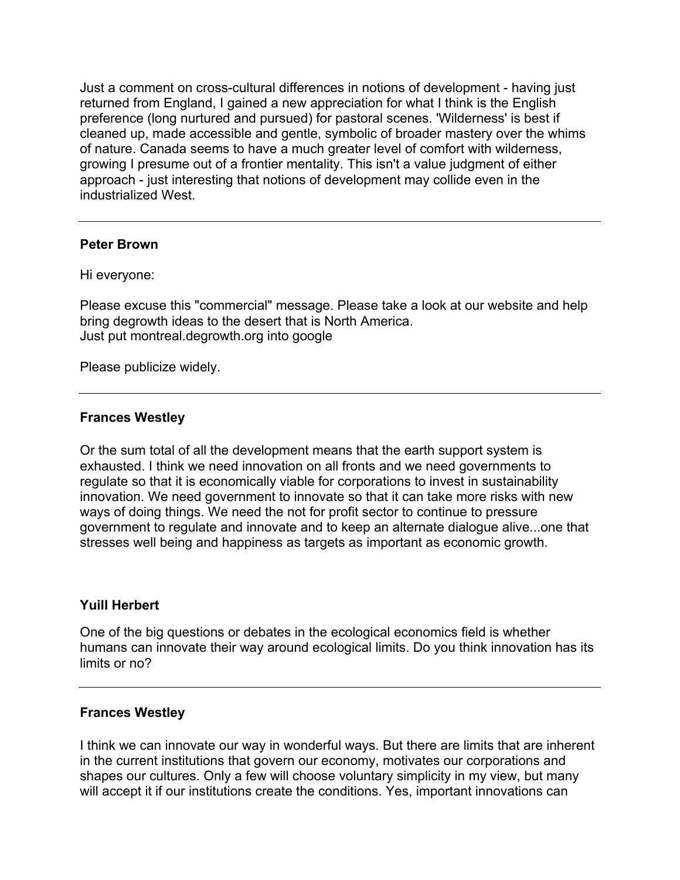Just a comment on cross-cultural differences in notions of development - having just returned from England, I gained a new appreciation for what I think is the English preference (long nurtured and pursued) for pastoral scenes. 'Wilderness' is best if cleaned up, made accessible and gentle, symbolic of broader mastery over the whims of nature. Canada seems to have a much greater level of comfort with wilderness, growing I presume out of a frontier mentality. This isn't a value judgment of either approach - just interesting that notions of development may collide even in the industrialized West.

#### **Peter Brown**

Hi everyone:

Please excuse this "commercial" message. Please take a look at our website and help bring degrowth ideas to the desert that is North America. Just put montreal.degrowth.org into google

Please publicize widely.

#### **Frances Westley**

Or the sum total of all the development means that the earth support system is exhausted. I think we need innovation on all fronts and we need governments to regulate so that it is economically viable for corporations to invest in sustainability innovation. We need government to innovate so that it can take more risks with new ways of doing things. We need the not for profit sector to continue to pressure government to regulate and innovate and to keep an alternate dialogue alive...one that stresses well being and happiness as targets as important as economic growth.

#### **Yuill Herbert**

One of the big questions or debates in the ecological economics field is whether humans can innovate their way around ecological limits. Do you think innovation has its limits or no?

#### **Frances Westley**

I think we can innovate our way in wonderful ways. But there are limits that are inherent in the current institutions that govern our economy, motivates our corporations and shapes our cultures. Only a few will choose voluntary simplicity in my view, but many will accept it if our institutions create the conditions. Yes, important innovations can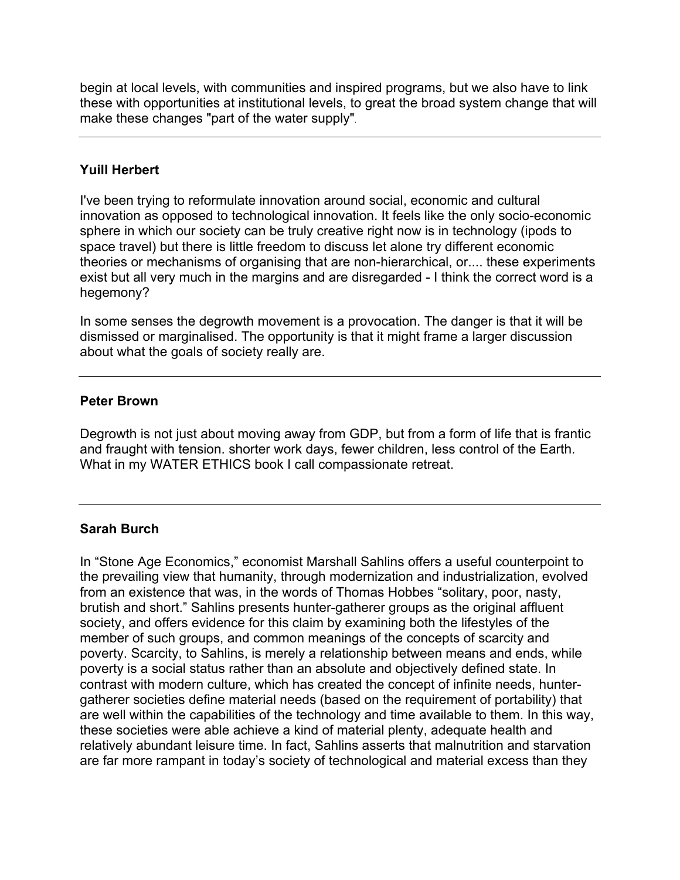begin at local levels, with communities and inspired programs, but we also have to link these with opportunities at institutional levels, to great the broad system change that will make these changes "part of the water supply".

## **Yuill Herbert**

I've been trying to reformulate innovation around social, economic and cultural innovation as opposed to technological innovation. It feels like the only socio-economic sphere in which our society can be truly creative right now is in technology (ipods to space travel) but there is little freedom to discuss let alone try different economic theories or mechanisms of organising that are non-hierarchical, or.... these experiments exist but all very much in the margins and are disregarded - I think the correct word is a hegemony?

In some senses the degrowth movement is a provocation. The danger is that it will be dismissed or marginalised. The opportunity is that it might frame a larger discussion about what the goals of society really are.

### **Peter Brown**

Degrowth is not just about moving away from GDP, but from a form of life that is frantic and fraught with tension. shorter work days, fewer children, less control of the Earth. What in my WATER ETHICS book I call compassionate retreat.

### **Sarah Burch**

In "Stone Age Economics," economist Marshall Sahlins offers a useful counterpoint to the prevailing view that humanity, through modernization and industrialization, evolved from an existence that was, in the words of Thomas Hobbes "solitary, poor, nasty, brutish and short." Sahlins presents hunter-gatherer groups as the original affluent society, and offers evidence for this claim by examining both the lifestyles of the member of such groups, and common meanings of the concepts of scarcity and poverty. Scarcity, to Sahlins, is merely a relationship between means and ends, while poverty is a social status rather than an absolute and objectively defined state. In contrast with modern culture, which has created the concept of infinite needs, huntergatherer societies define material needs (based on the requirement of portability) that are well within the capabilities of the technology and time available to them. In this way, these societies were able achieve a kind of material plenty, adequate health and relatively abundant leisure time. In fact, Sahlins asserts that malnutrition and starvation are far more rampant in today's society of technological and material excess than they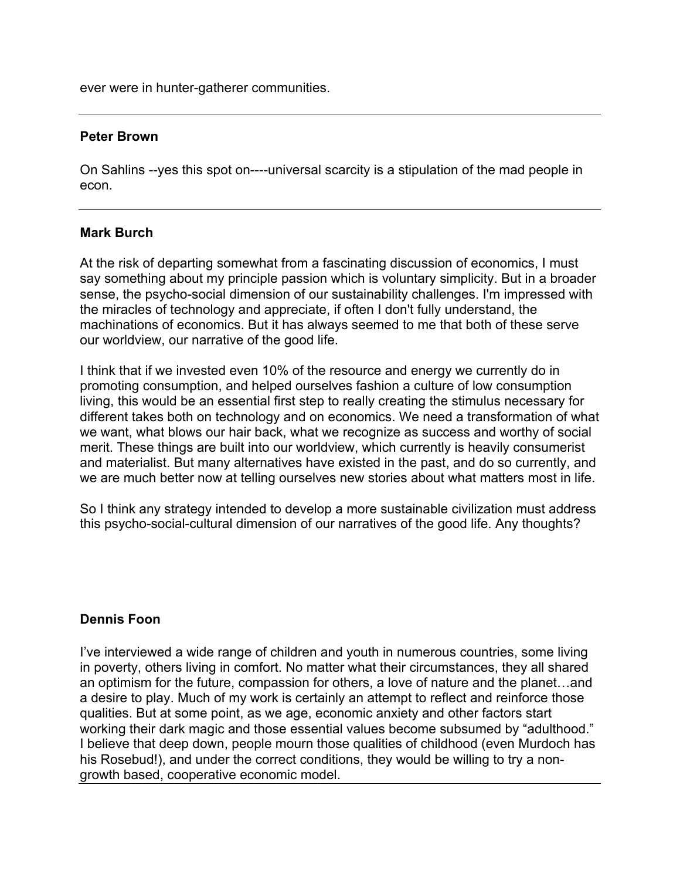ever were in hunter-gatherer communities.

#### **Peter Brown**

On Sahlins --yes this spot on----universal scarcity is a stipulation of the mad people in econ.

#### **Mark Burch**

At the risk of departing somewhat from a fascinating discussion of economics, I must say something about my principle passion which is voluntary simplicity. But in a broader sense, the psycho-social dimension of our sustainability challenges. I'm impressed with the miracles of technology and appreciate, if often I don't fully understand, the machinations of economics. But it has always seemed to me that both of these serve our worldview, our narrative of the good life.

I think that if we invested even 10% of the resource and energy we currently do in promoting consumption, and helped ourselves fashion a culture of low consumption living, this would be an essential first step to really creating the stimulus necessary for different takes both on technology and on economics. We need a transformation of what we want, what blows our hair back, what we recognize as success and worthy of social merit. These things are built into our worldview, which currently is heavily consumerist and materialist. But many alternatives have existed in the past, and do so currently, and we are much better now at telling ourselves new stories about what matters most in life.

So I think any strategy intended to develop a more sustainable civilization must address this psycho-social-cultural dimension of our narratives of the good life. Any thoughts?

### **Dennis Foon**

I've interviewed a wide range of children and youth in numerous countries, some living in poverty, others living in comfort. No matter what their circumstances, they all shared an optimism for the future, compassion for others, a love of nature and the planet…and a desire to play. Much of my work is certainly an attempt to reflect and reinforce those qualities. But at some point, as we age, economic anxiety and other factors start working their dark magic and those essential values become subsumed by "adulthood." I believe that deep down, people mourn those qualities of childhood (even Murdoch has his Rosebud!), and under the correct conditions, they would be willing to try a nongrowth based, cooperative economic model.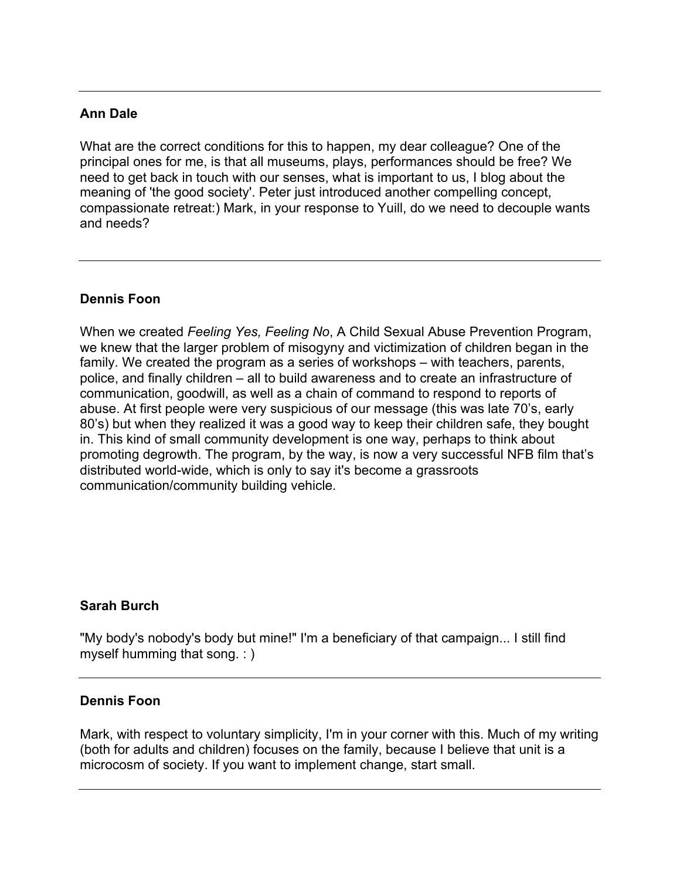## **Ann Dale**

What are the correct conditions for this to happen, my dear colleague? One of the principal ones for me, is that all museums, plays, performances should be free? We need to get back in touch with our senses, what is important to us, I blog about the meaning of 'the good society'. Peter just introduced another compelling concept, compassionate retreat:) Mark, in your response to Yuill, do we need to decouple wants and needs?

## **Dennis Foon**

When we created *Feeling Yes, Feeling No*, A Child Sexual Abuse Prevention Program, we knew that the larger problem of misogyny and victimization of children began in the family. We created the program as a series of workshops – with teachers, parents, police, and finally children – all to build awareness and to create an infrastructure of communication, goodwill, as well as a chain of command to respond to reports of abuse. At first people were very suspicious of our message (this was late 70's, early 80's) but when they realized it was a good way to keep their children safe, they bought in. This kind of small community development is one way, perhaps to think about promoting degrowth. The program, by the way, is now a very successful NFB film that's distributed world-wide, which is only to say it's become a grassroots communication/community building vehicle.

### **Sarah Burch**

"My body's nobody's body but mine!" I'm a beneficiary of that campaign... I still find myself humming that song. : )

### **Dennis Foon**

Mark, with respect to voluntary simplicity, I'm in your corner with this. Much of my writing (both for adults and children) focuses on the family, because I believe that unit is a microcosm of society. If you want to implement change, start small.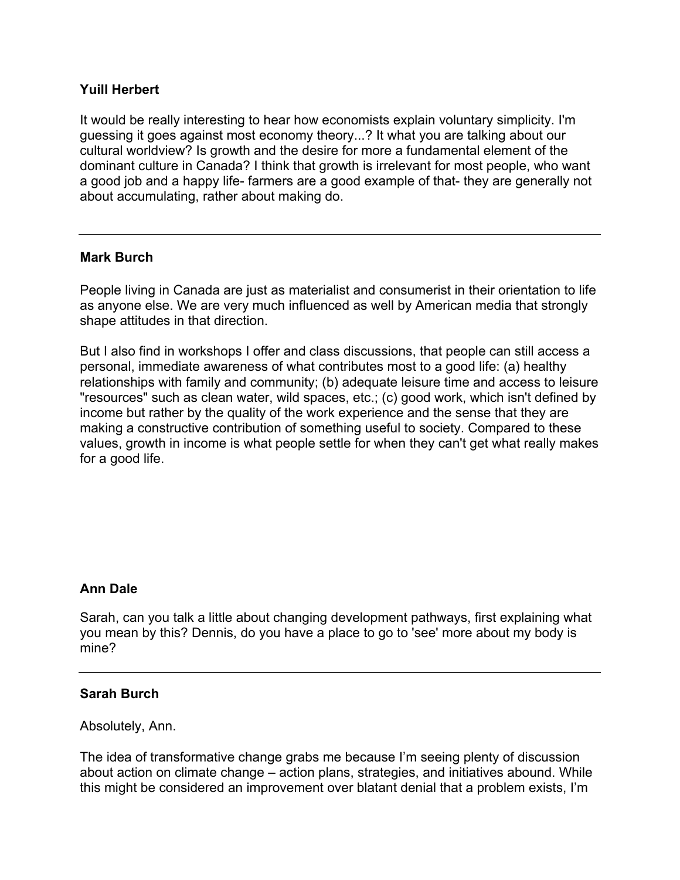## **Yuill Herbert**

It would be really interesting to hear how economists explain voluntary simplicity. I'm guessing it goes against most economy theory...? It what you are talking about our cultural worldview? Is growth and the desire for more a fundamental element of the dominant culture in Canada? I think that growth is irrelevant for most people, who want a good job and a happy life- farmers are a good example of that- they are generally not about accumulating, rather about making do.

### **Mark Burch**

People living in Canada are just as materialist and consumerist in their orientation to life as anyone else. We are very much influenced as well by American media that strongly shape attitudes in that direction.

But I also find in workshops I offer and class discussions, that people can still access a personal, immediate awareness of what contributes most to a good life: (a) healthy relationships with family and community; (b) adequate leisure time and access to leisure "resources" such as clean water, wild spaces, etc.; (c) good work, which isn't defined by income but rather by the quality of the work experience and the sense that they are making a constructive contribution of something useful to society. Compared to these values, growth in income is what people settle for when they can't get what really makes for a good life.

### **Ann Dale**

Sarah, can you talk a little about changing development pathways, first explaining what you mean by this? Dennis, do you have a place to go to 'see' more about my body is mine?

#### **Sarah Burch**

Absolutely, Ann.

The idea of transformative change grabs me because I'm seeing plenty of discussion about action on climate change – action plans, strategies, and initiatives abound. While this might be considered an improvement over blatant denial that a problem exists, I'm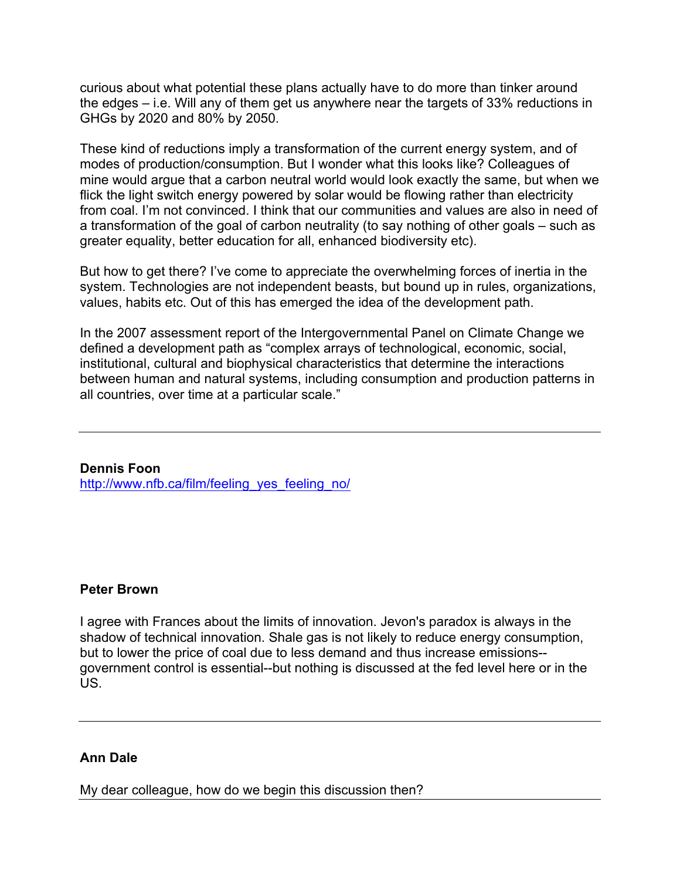curious about what potential these plans actually have to do more than tinker around the edges – i.e. Will any of them get us anywhere near the targets of 33% reductions in GHGs by 2020 and 80% by 2050.

These kind of reductions imply a transformation of the current energy system, and of modes of production/consumption. But I wonder what this looks like? Colleagues of mine would argue that a carbon neutral world would look exactly the same, but when we flick the light switch energy powered by solar would be flowing rather than electricity from coal. I'm not convinced. I think that our communities and values are also in need of a transformation of the goal of carbon neutrality (to say nothing of other goals – such as greater equality, better education for all, enhanced biodiversity etc).

But how to get there? I've come to appreciate the overwhelming forces of inertia in the system. Technologies are not independent beasts, but bound up in rules, organizations, values, habits etc. Out of this has emerged the idea of the development path.

In the 2007 assessment report of the Intergovernmental Panel on Climate Change we defined a development path as "complex arrays of technological, economic, social, institutional, cultural and biophysical characteristics that determine the interactions between human and natural systems, including consumption and production patterns in all countries, over time at a particular scale."

**Dennis Foon** http://www.nfb.ca/film/feeling\_yes\_feeling\_no/

### **Peter Brown**

I agree with Frances about the limits of innovation. Jevon's paradox is always in the shadow of technical innovation. Shale gas is not likely to reduce energy consumption, but to lower the price of coal due to less demand and thus increase emissions- government control is essential--but nothing is discussed at the fed level here or in the US.

#### **Ann Dale**

My dear colleague, how do we begin this discussion then?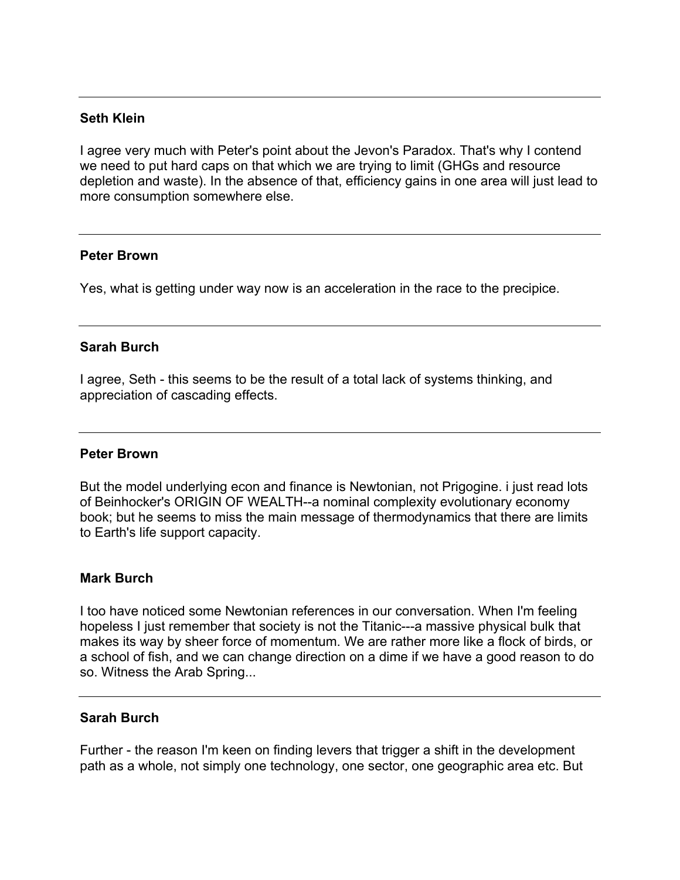#### **Seth Klein**

I agree very much with Peter's point about the Jevon's Paradox. That's why I contend we need to put hard caps on that which we are trying to limit (GHGs and resource depletion and waste). In the absence of that, efficiency gains in one area will just lead to more consumption somewhere else.

#### **Peter Brown**

Yes, what is getting under way now is an acceleration in the race to the precipice.

#### **Sarah Burch**

I agree, Seth - this seems to be the result of a total lack of systems thinking, and appreciation of cascading effects.

#### **Peter Brown**

But the model underlying econ and finance is Newtonian, not Prigogine. i just read lots of Beinhocker's ORIGIN OF WEALTH--a nominal complexity evolutionary economy book; but he seems to miss the main message of thermodynamics that there are limits to Earth's life support capacity.

#### **Mark Burch**

I too have noticed some Newtonian references in our conversation. When I'm feeling hopeless I just remember that society is not the Titanic---a massive physical bulk that makes its way by sheer force of momentum. We are rather more like a flock of birds, or a school of fish, and we can change direction on a dime if we have a good reason to do so. Witness the Arab Spring...

#### **Sarah Burch**

Further - the reason I'm keen on finding levers that trigger a shift in the development path as a whole, not simply one technology, one sector, one geographic area etc. But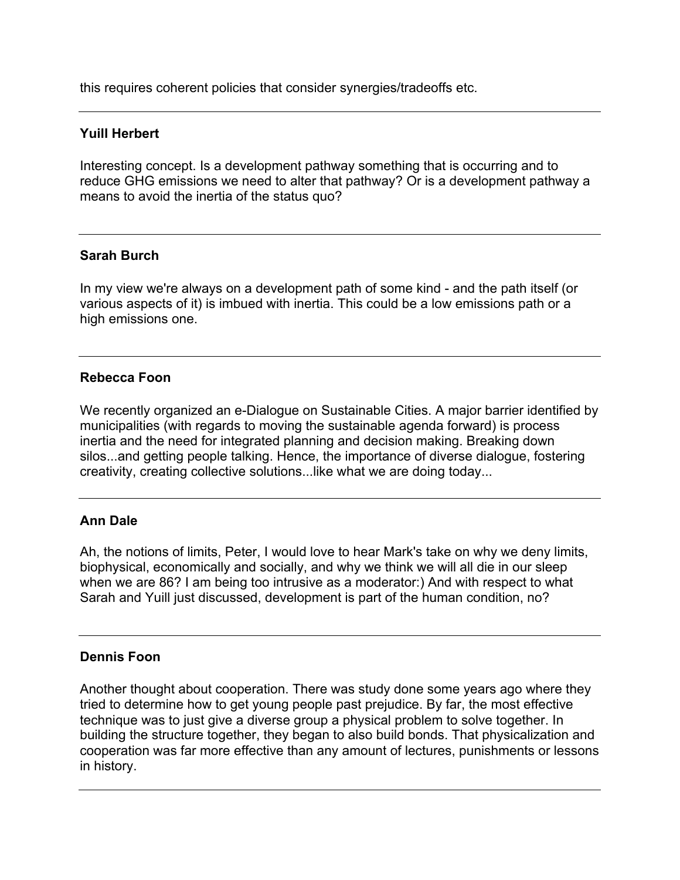this requires coherent policies that consider synergies/tradeoffs etc.

### **Yuill Herbert**

Interesting concept. Is a development pathway something that is occurring and to reduce GHG emissions we need to alter that pathway? Or is a development pathway a means to avoid the inertia of the status quo?

### **Sarah Burch**

In my view we're always on a development path of some kind - and the path itself (or various aspects of it) is imbued with inertia. This could be a low emissions path or a high emissions one.

## **Rebecca Foon**

We recently organized an e-Dialogue on Sustainable Cities. A major barrier identified by municipalities (with regards to moving the sustainable agenda forward) is process inertia and the need for integrated planning and decision making. Breaking down silos...and getting people talking. Hence, the importance of diverse dialogue, fostering creativity, creating collective solutions...like what we are doing today...

## **Ann Dale**

Ah, the notions of limits, Peter, I would love to hear Mark's take on why we deny limits, biophysical, economically and socially, and why we think we will all die in our sleep when we are 86? I am being too intrusive as a moderator:) And with respect to what Sarah and Yuill just discussed, development is part of the human condition, no?

### **Dennis Foon**

Another thought about cooperation. There was study done some years ago where they tried to determine how to get young people past prejudice. By far, the most effective technique was to just give a diverse group a physical problem to solve together. In building the structure together, they began to also build bonds. That physicalization and cooperation was far more effective than any amount of lectures, punishments or lessons in history.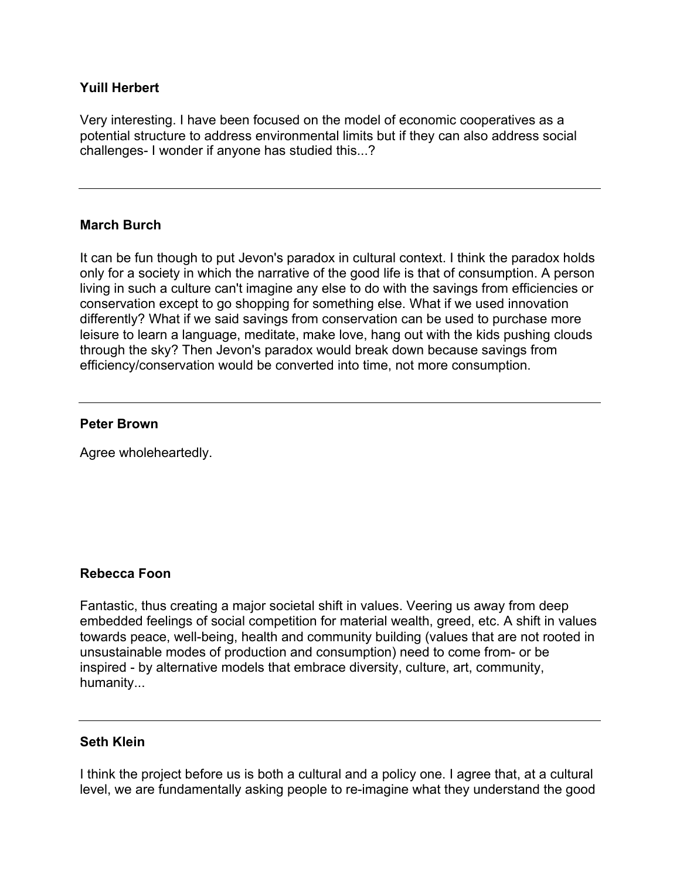### **Yuill Herbert**

Very interesting. I have been focused on the model of economic cooperatives as a potential structure to address environmental limits but if they can also address social challenges- I wonder if anyone has studied this...?

#### **March Burch**

It can be fun though to put Jevon's paradox in cultural context. I think the paradox holds only for a society in which the narrative of the good life is that of consumption. A person living in such a culture can't imagine any else to do with the savings from efficiencies or conservation except to go shopping for something else. What if we used innovation differently? What if we said savings from conservation can be used to purchase more leisure to learn a language, meditate, make love, hang out with the kids pushing clouds through the sky? Then Jevon's paradox would break down because savings from efficiency/conservation would be converted into time, not more consumption.

#### **Peter Brown**

Agree wholeheartedly.

#### **Rebecca Foon**

Fantastic, thus creating a major societal shift in values. Veering us away from deep embedded feelings of social competition for material wealth, greed, etc. A shift in values towards peace, well-being, health and community building (values that are not rooted in unsustainable modes of production and consumption) need to come from- or be inspired - by alternative models that embrace diversity, culture, art, community, humanity...

### **Seth Klein**

I think the project before us is both a cultural and a policy one. I agree that, at a cultural level, we are fundamentally asking people to re-imagine what they understand the good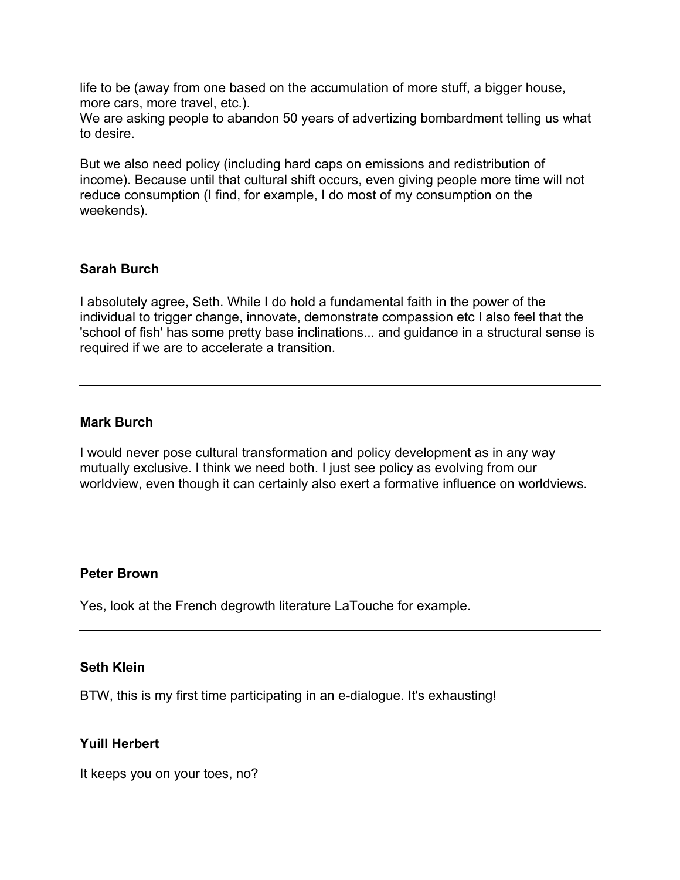life to be (away from one based on the accumulation of more stuff, a bigger house, more cars, more travel, etc.).

We are asking people to abandon 50 years of advertizing bombardment telling us what to desire.

But we also need policy (including hard caps on emissions and redistribution of income). Because until that cultural shift occurs, even giving people more time will not reduce consumption (I find, for example, I do most of my consumption on the weekends).

### **Sarah Burch**

I absolutely agree, Seth. While I do hold a fundamental faith in the power of the individual to trigger change, innovate, demonstrate compassion etc I also feel that the 'school of fish' has some pretty base inclinations... and guidance in a structural sense is required if we are to accelerate a transition.

#### **Mark Burch**

I would never pose cultural transformation and policy development as in any way mutually exclusive. I think we need both. I just see policy as evolving from our worldview, even though it can certainly also exert a formative influence on worldviews.

#### **Peter Brown**

Yes, look at the French degrowth literature LaTouche for example.

#### **Seth Klein**

BTW, this is my first time participating in an e-dialogue. It's exhausting!

### **Yuill Herbert**

It keeps you on your toes, no?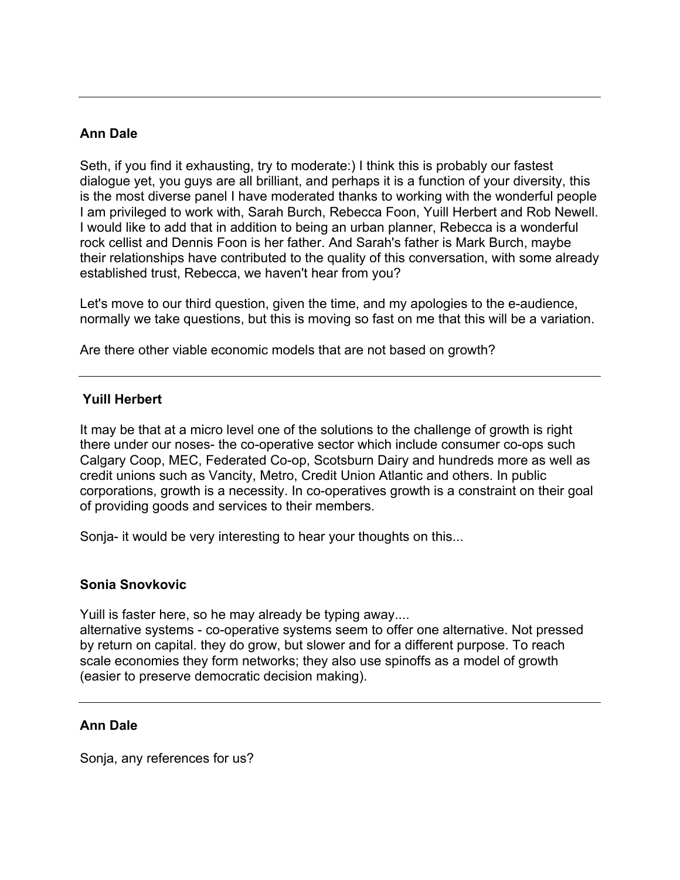## **Ann Dale**

Seth, if you find it exhausting, try to moderate:) I think this is probably our fastest dialogue yet, you guys are all brilliant, and perhaps it is a function of your diversity, this is the most diverse panel I have moderated thanks to working with the wonderful people I am privileged to work with, Sarah Burch, Rebecca Foon, Yuill Herbert and Rob Newell. I would like to add that in addition to being an urban planner, Rebecca is a wonderful rock cellist and Dennis Foon is her father. And Sarah's father is Mark Burch, maybe their relationships have contributed to the quality of this conversation, with some already established trust, Rebecca, we haven't hear from you?

Let's move to our third question, given the time, and my apologies to the e-audience, normally we take questions, but this is moving so fast on me that this will be a variation.

Are there other viable economic models that are not based on growth?

### **Yuill Herbert**

It may be that at a micro level one of the solutions to the challenge of growth is right there under our noses- the co-operative sector which include consumer co-ops such Calgary Coop, MEC, Federated Co-op, Scotsburn Dairy and hundreds more as well as credit unions such as Vancity, Metro, Credit Union Atlantic and others. In public corporations, growth is a necessity. In co-operatives growth is a constraint on their goal of providing goods and services to their members.

Sonja- it would be very interesting to hear your thoughts on this...

### **Sonia Snovkovic**

Yuill is faster here, so he may already be typing away....

alternative systems - co-operative systems seem to offer one alternative. Not pressed by return on capital. they do grow, but slower and for a different purpose. To reach scale economies they form networks; they also use spinoffs as a model of growth (easier to preserve democratic decision making).

### **Ann Dale**

Sonja, any references for us?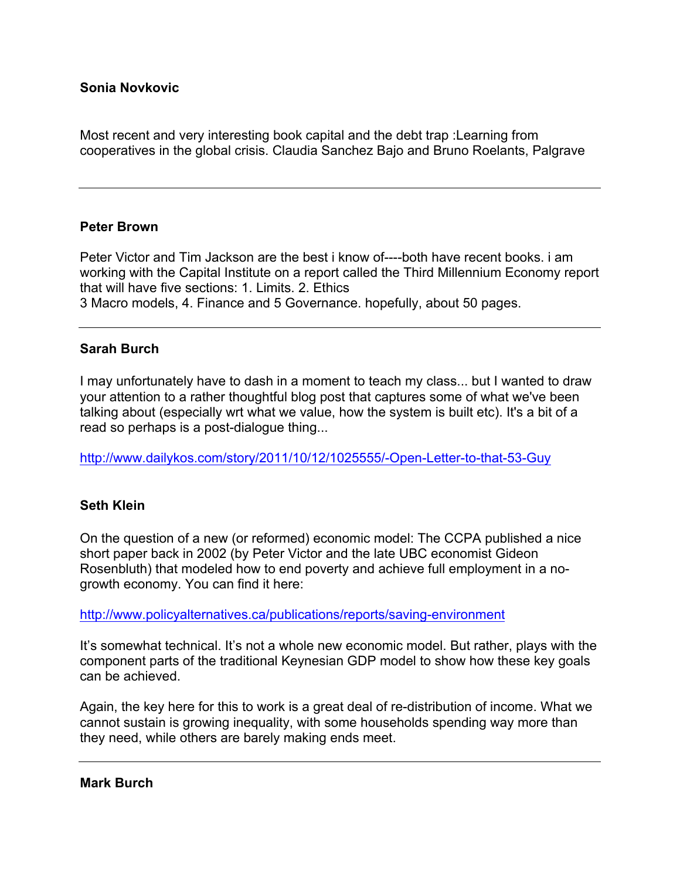### **Sonia Novkovic**

Most recent and very interesting book capital and the debt trap :Learning from cooperatives in the global crisis. Claudia Sanchez Bajo and Bruno Roelants, Palgrave

#### **Peter Brown**

Peter Victor and Tim Jackson are the best i know of----both have recent books. i am working with the Capital Institute on a report called the Third Millennium Economy report that will have five sections: 1. Limits. 2. Ethics 3 Macro models, 4. Finance and 5 Governance. hopefully, about 50 pages.

#### **Sarah Burch**

I may unfortunately have to dash in a moment to teach my class... but I wanted to draw your attention to a rather thoughtful blog post that captures some of what we've been talking about (especially wrt what we value, how the system is built etc). It's a bit of a read so perhaps is a post-dialogue thing...

http://www.dailykos.com/story/2011/10/12/1025555/-Open-Letter-to-that-53-Guy

### **Seth Klein**

On the question of a new (or reformed) economic model: The CCPA published a nice short paper back in 2002 (by Peter Victor and the late UBC economist Gideon Rosenbluth) that modeled how to end poverty and achieve full employment in a nogrowth economy. You can find it here:

http://www.policyalternatives.ca/publications/reports/saving-environment

It's somewhat technical. It's not a whole new economic model. But rather, plays with the component parts of the traditional Keynesian GDP model to show how these key goals can be achieved.

Again, the key here for this to work is a great deal of re-distribution of income. What we cannot sustain is growing inequality, with some households spending way more than they need, while others are barely making ends meet.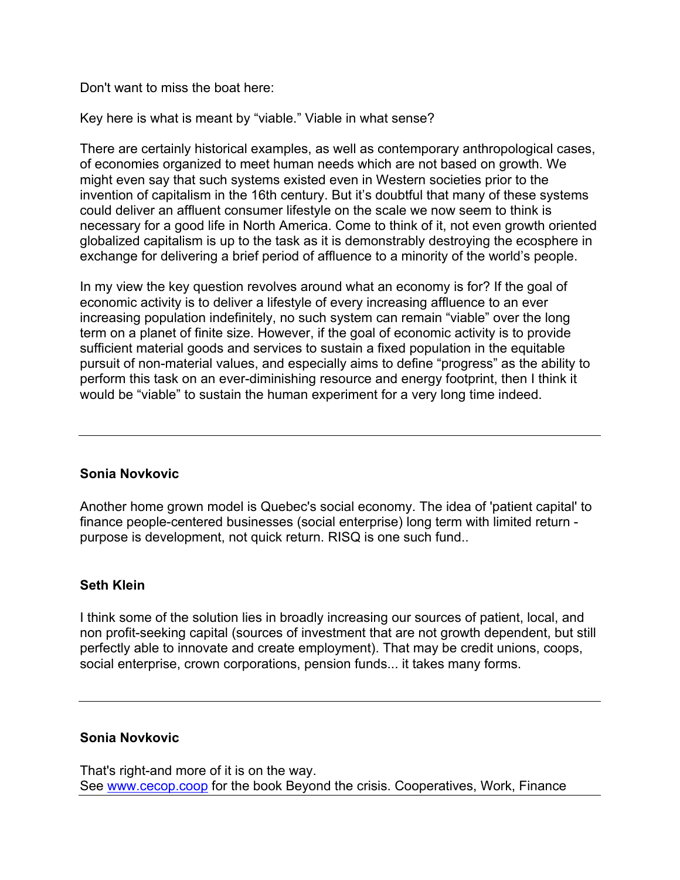Don't want to miss the boat here:

Key here is what is meant by "viable." Viable in what sense?

There are certainly historical examples, as well as contemporary anthropological cases, of economies organized to meet human needs which are not based on growth. We might even say that such systems existed even in Western societies prior to the invention of capitalism in the 16th century. But it's doubtful that many of these systems could deliver an affluent consumer lifestyle on the scale we now seem to think is necessary for a good life in North America. Come to think of it, not even growth oriented globalized capitalism is up to the task as it is demonstrably destroying the ecosphere in exchange for delivering a brief period of affluence to a minority of the world's people.

In my view the key question revolves around what an economy is for? If the goal of economic activity is to deliver a lifestyle of every increasing affluence to an ever increasing population indefinitely, no such system can remain "viable" over the long term on a planet of finite size. However, if the goal of economic activity is to provide sufficient material goods and services to sustain a fixed population in the equitable pursuit of non-material values, and especially aims to define "progress" as the ability to perform this task on an ever-diminishing resource and energy footprint, then I think it would be "viable" to sustain the human experiment for a very long time indeed.

## **Sonia Novkovic**

Another home grown model is Quebec's social economy. The idea of 'patient capital' to finance people-centered businesses (social enterprise) long term with limited return purpose is development, not quick return. RISQ is one such fund..

## **Seth Klein**

I think some of the solution lies in broadly increasing our sources of patient, local, and non profit-seeking capital (sources of investment that are not growth dependent, but still perfectly able to innovate and create employment). That may be credit unions, coops, social enterprise, crown corporations, pension funds... it takes many forms.

### **Sonia Novkovic**

That's right-and more of it is on the way. See www.cecop.coop for the book Beyond the crisis. Cooperatives, Work, Finance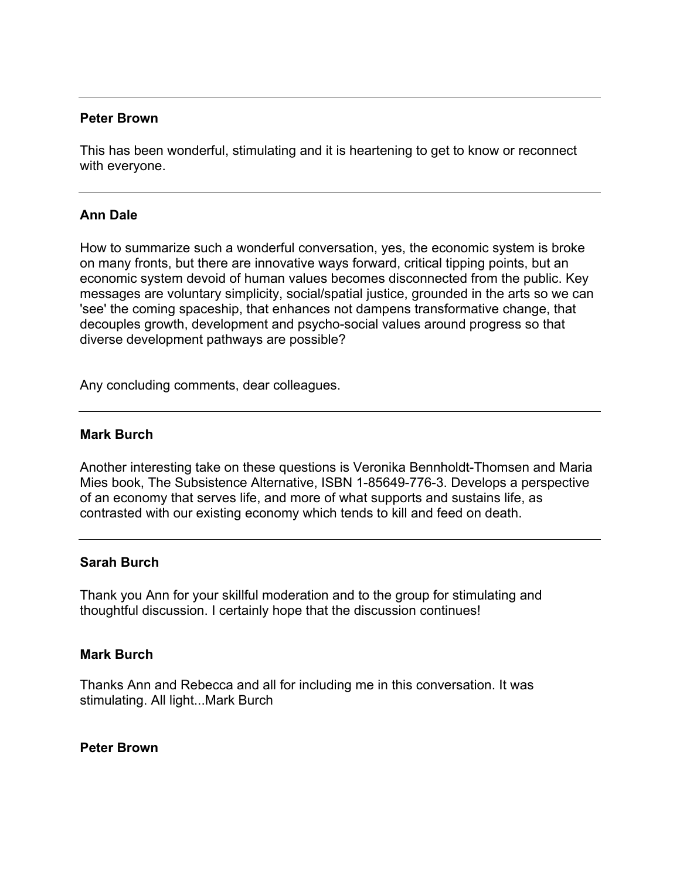#### **Peter Brown**

This has been wonderful, stimulating and it is heartening to get to know or reconnect with everyone.

#### **Ann Dale**

How to summarize such a wonderful conversation, yes, the economic system is broke on many fronts, but there are innovative ways forward, critical tipping points, but an economic system devoid of human values becomes disconnected from the public. Key messages are voluntary simplicity, social/spatial justice, grounded in the arts so we can 'see' the coming spaceship, that enhances not dampens transformative change, that decouples growth, development and psycho-social values around progress so that diverse development pathways are possible?

Any concluding comments, dear colleagues.

#### **Mark Burch**

Another interesting take on these questions is Veronika Bennholdt-Thomsen and Maria Mies book, The Subsistence Alternative, ISBN 1-85649-776-3. Develops a perspective of an economy that serves life, and more of what supports and sustains life, as contrasted with our existing economy which tends to kill and feed on death.

#### **Sarah Burch**

Thank you Ann for your skillful moderation and to the group for stimulating and thoughtful discussion. I certainly hope that the discussion continues!

#### **Mark Burch**

Thanks Ann and Rebecca and all for including me in this conversation. It was stimulating. All light...Mark Burch